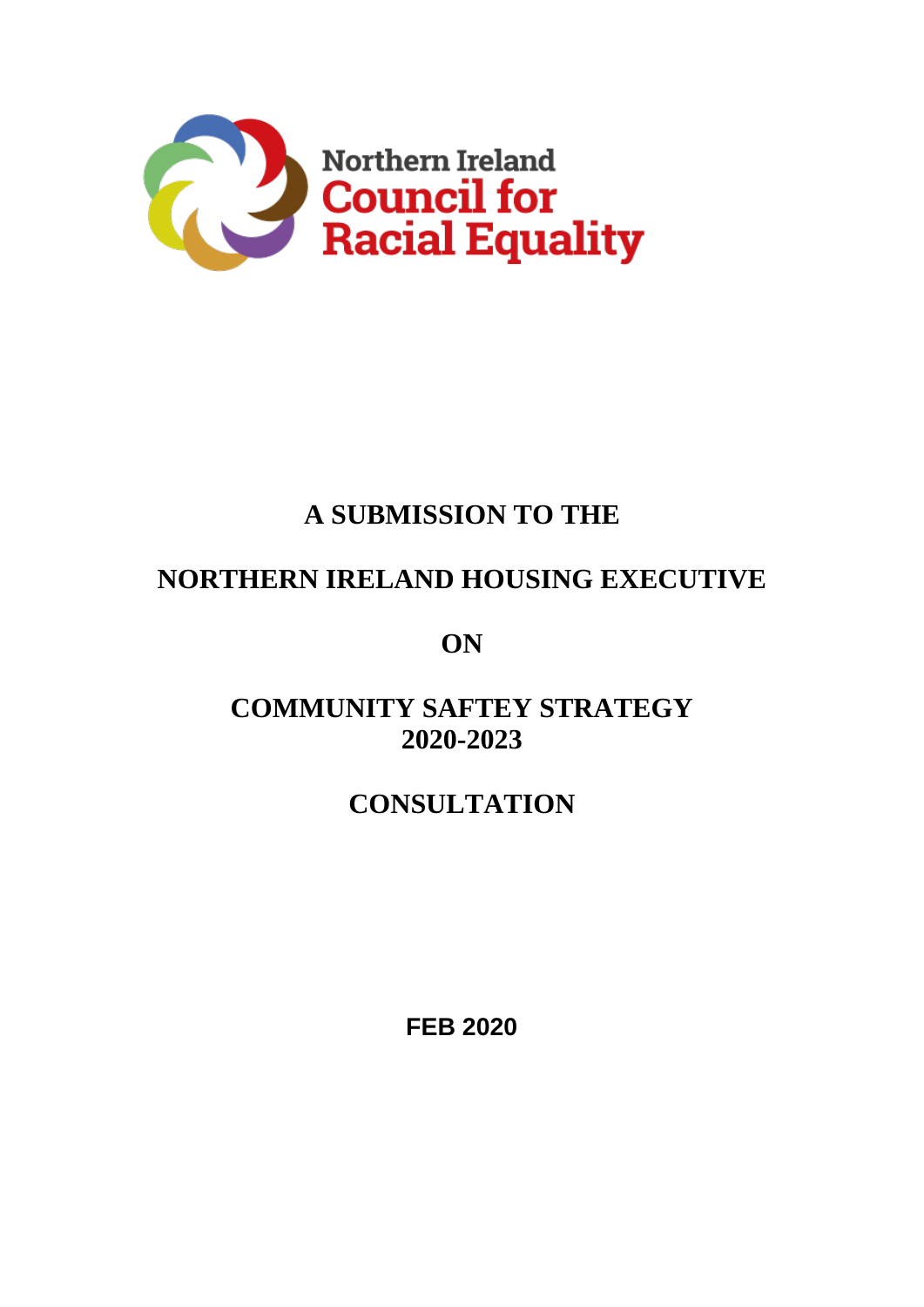

# **A SUBMISSION TO THE**

## **NORTHERN IRELAND HOUSING EXECUTIVE**

**ON**

## **COMMUNITY SAFTEY STRATEGY 2020-2023**

## **CONSULTATION**

**FEB 2020**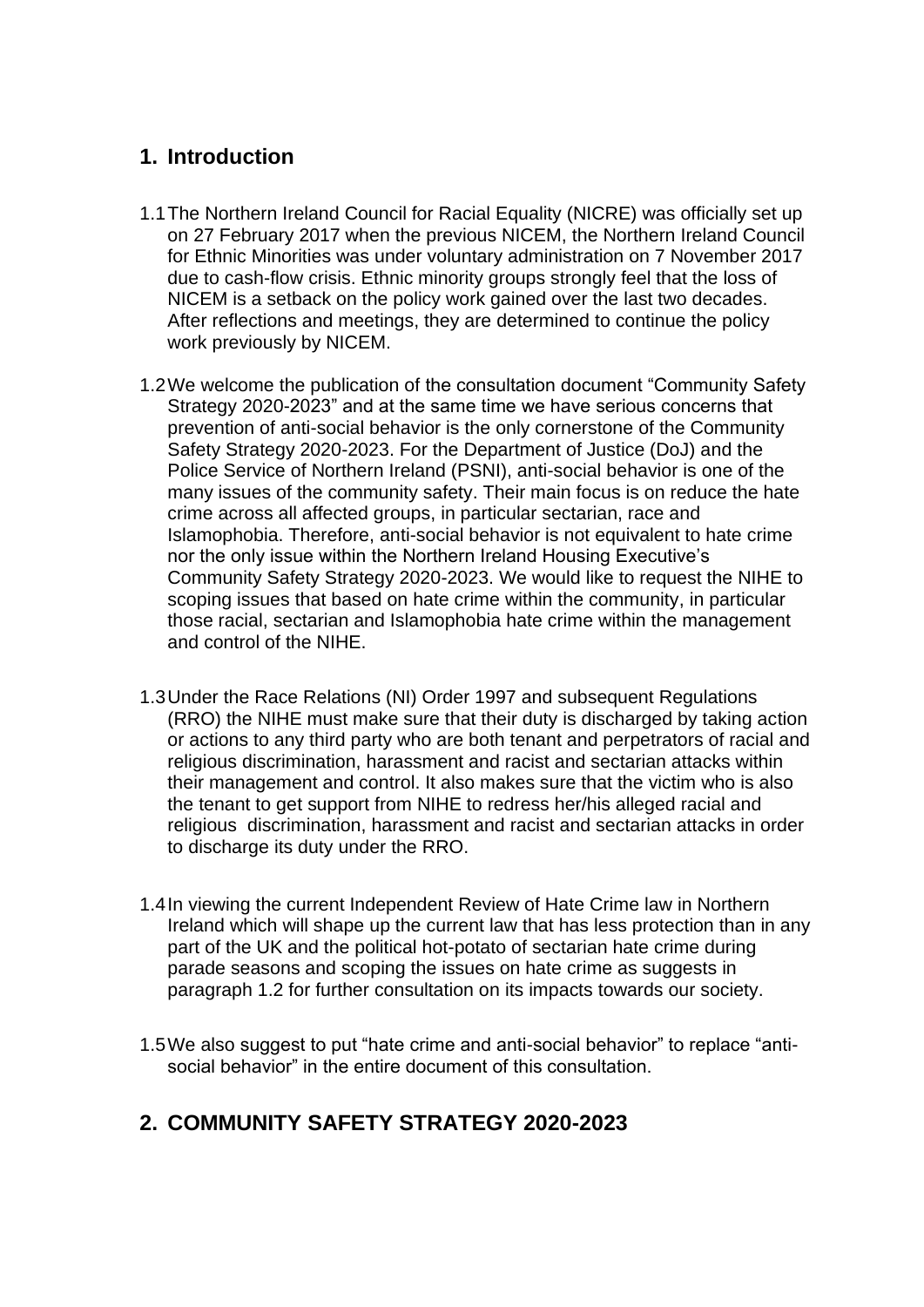#### **1. Introduction**

- 1.1The Northern Ireland Council for Racial Equality (NICRE) was officially set up on 27 February 2017 when the previous NICEM, the Northern Ireland Council for Ethnic Minorities was under voluntary administration on 7 November 2017 due to cash-flow crisis. Ethnic minority groups strongly feel that the loss of NICEM is a setback on the policy work gained over the last two decades. After reflections and meetings, they are determined to continue the policy work previously by NICEM.
- 1.2We welcome the publication of the consultation document "Community Safety Strategy 2020-2023" and at the same time we have serious concerns that prevention of anti-social behavior is the only cornerstone of the Community Safety Strategy 2020-2023. For the Department of Justice (DoJ) and the Police Service of Northern Ireland (PSNI), anti-social behavior is one of the many issues of the community safety. Their main focus is on reduce the hate crime across all affected groups, in particular sectarian, race and Islamophobia. Therefore, anti-social behavior is not equivalent to hate crime nor the only issue within the Northern Ireland Housing Executive's Community Safety Strategy 2020-2023. We would like to request the NIHE to scoping issues that based on hate crime within the community, in particular those racial, sectarian and Islamophobia hate crime within the management and control of the NIHE.
- 1.3Under the Race Relations (NI) Order 1997 and subsequent Regulations (RRO) the NIHE must make sure that their duty is discharged by taking action or actions to any third party who are both tenant and perpetrators of racial and religious discrimination, harassment and racist and sectarian attacks within their management and control. It also makes sure that the victim who is also the tenant to get support from NIHE to redress her/his alleged racial and religious discrimination, harassment and racist and sectarian attacks in order to discharge its duty under the RRO.
- 1.4In viewing the current Independent Review of Hate Crime law in Northern Ireland which will shape up the current law that has less protection than in any part of the UK and the political hot-potato of sectarian hate crime during parade seasons and scoping the issues on hate crime as suggests in paragraph 1.2 for further consultation on its impacts towards our society.
- 1.5We also suggest to put "hate crime and anti-social behavior" to replace "antisocial behavior" in the entire document of this consultation.

#### **2. COMMUNITY SAFETY STRATEGY 2020-2023**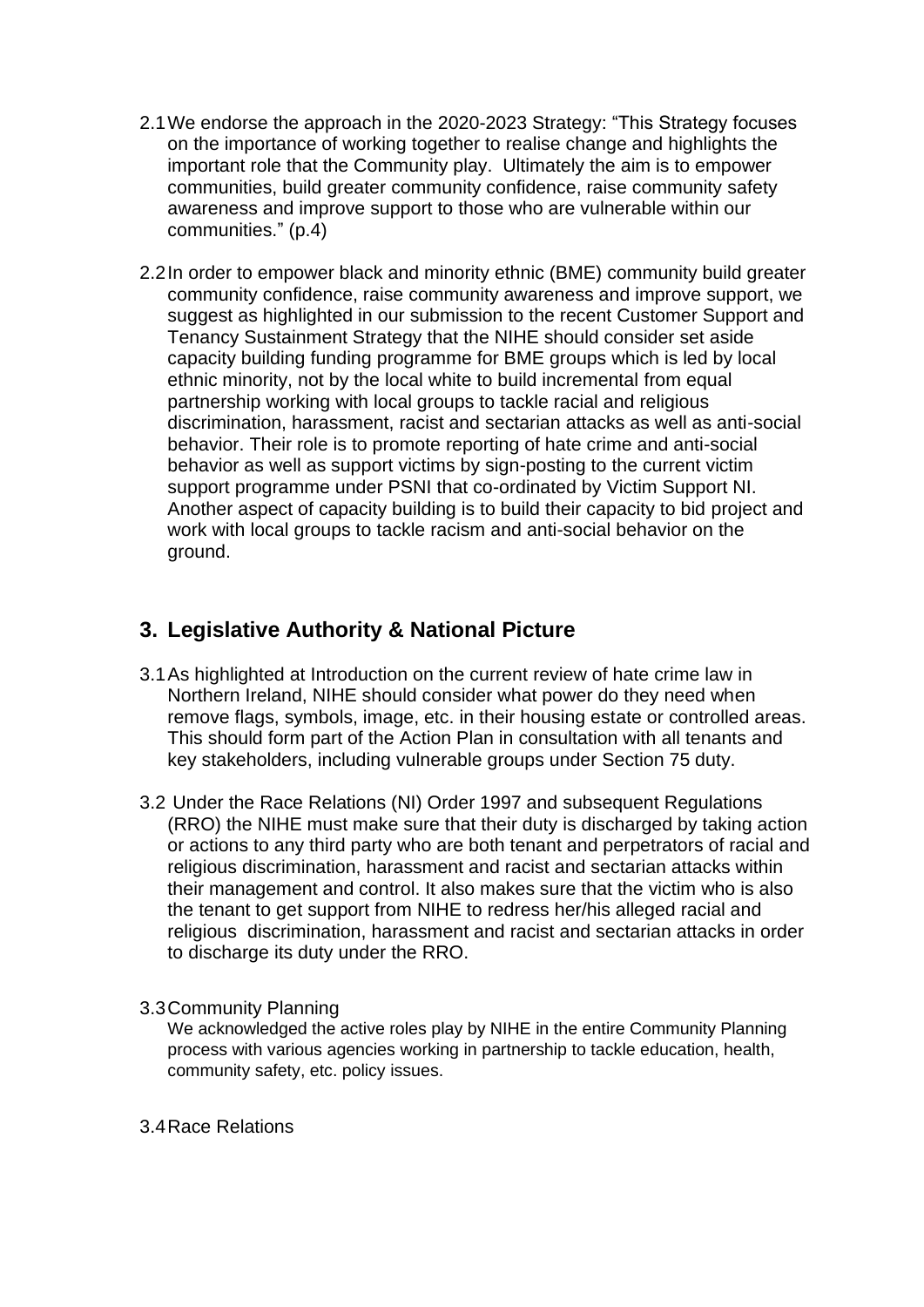- 2.1We endorse the approach in the 2020-2023 Strategy: "This Strategy focuses on the importance of working together to realise change and highlights the important role that the Community play. Ultimately the aim is to empower communities, build greater community confidence, raise community safety awareness and improve support to those who are vulnerable within our communities." (p.4)
- 2.2In order to empower black and minority ethnic (BME) community build greater community confidence, raise community awareness and improve support, we suggest as highlighted in our submission to the recent Customer Support and Tenancy Sustainment Strategy that the NIHE should consider set aside capacity building funding programme for BME groups which is led by local ethnic minority, not by the local white to build incremental from equal partnership working with local groups to tackle racial and religious discrimination, harassment, racist and sectarian attacks as well as anti-social behavior. Their role is to promote reporting of hate crime and anti-social behavior as well as support victims by sign-posting to the current victim support programme under PSNI that co-ordinated by Victim Support NI. Another aspect of capacity building is to build their capacity to bid project and work with local groups to tackle racism and anti-social behavior on the ground.

#### **3. Legislative Authority & National Picture**

- 3.1As highlighted at Introduction on the current review of hate crime law in Northern Ireland, NIHE should consider what power do they need when remove flags, symbols, image, etc. in their housing estate or controlled areas. This should form part of the Action Plan in consultation with all tenants and key stakeholders, including vulnerable groups under Section 75 duty.
- 3.2 Under the Race Relations (NI) Order 1997 and subsequent Regulations (RRO) the NIHE must make sure that their duty is discharged by taking action or actions to any third party who are both tenant and perpetrators of racial and religious discrimination, harassment and racist and sectarian attacks within their management and control. It also makes sure that the victim who is also the tenant to get support from NIHE to redress her/his alleged racial and religious discrimination, harassment and racist and sectarian attacks in order to discharge its duty under the RRO.
- 3.3Community Planning

We acknowledged the active roles play by NIHE in the entire Community Planning process with various agencies working in partnership to tackle education, health, community safety, etc. policy issues.

3.4Race Relations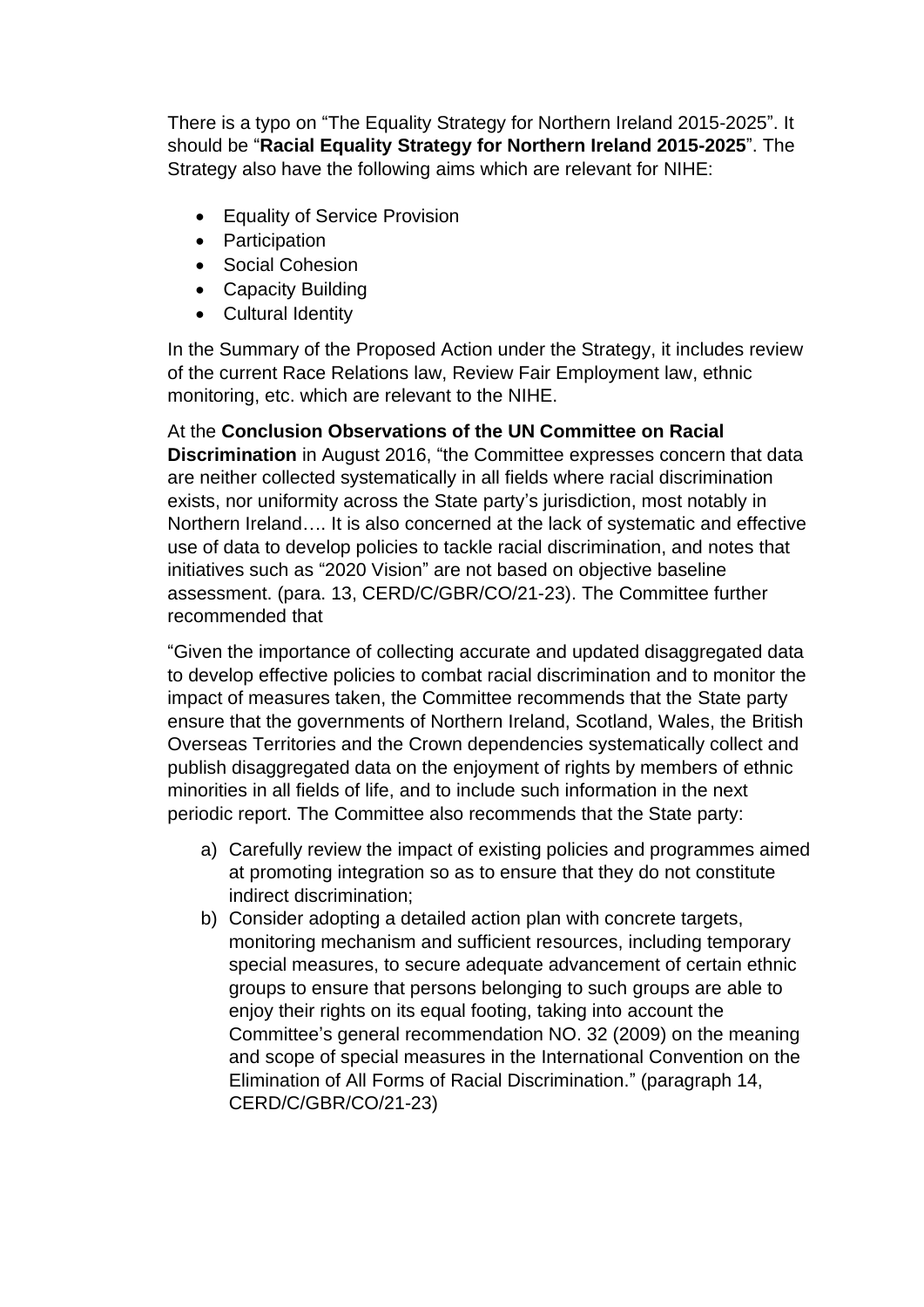There is a typo on "The Equality Strategy for Northern Ireland 2015-2025". It should be "**Racial Equality Strategy for Northern Ireland 2015-2025**". The Strategy also have the following aims which are relevant for NIHE:

- Equality of Service Provision
- Participation
- Social Cohesion
- Capacity Building
- Cultural Identity

In the Summary of the Proposed Action under the Strategy, it includes review of the current Race Relations law, Review Fair Employment law, ethnic monitoring, etc. which are relevant to the NIHE.

At the **Conclusion Observations of the UN Committee on Racial Discrimination** in August 2016, "the Committee expresses concern that data are neither collected systematically in all fields where racial discrimination exists, nor uniformity across the State party's jurisdiction, most notably in Northern Ireland…. It is also concerned at the lack of systematic and effective use of data to develop policies to tackle racial discrimination, and notes that initiatives such as "2020 Vision" are not based on objective baseline assessment. (para. 13, CERD/C/GBR/CO/21-23). The Committee further recommended that

"Given the importance of collecting accurate and updated disaggregated data to develop effective policies to combat racial discrimination and to monitor the impact of measures taken, the Committee recommends that the State party ensure that the governments of Northern Ireland, Scotland, Wales, the British Overseas Territories and the Crown dependencies systematically collect and publish disaggregated data on the enjoyment of rights by members of ethnic minorities in all fields of life, and to include such information in the next periodic report. The Committee also recommends that the State party:

- a) Carefully review the impact of existing policies and programmes aimed at promoting integration so as to ensure that they do not constitute indirect discrimination;
- b) Consider adopting a detailed action plan with concrete targets, monitoring mechanism and sufficient resources, including temporary special measures, to secure adequate advancement of certain ethnic groups to ensure that persons belonging to such groups are able to enjoy their rights on its equal footing, taking into account the Committee's general recommendation NO. 32 (2009) on the meaning and scope of special measures in the International Convention on the Elimination of All Forms of Racial Discrimination." (paragraph 14, CERD/C/GBR/CO/21-23)